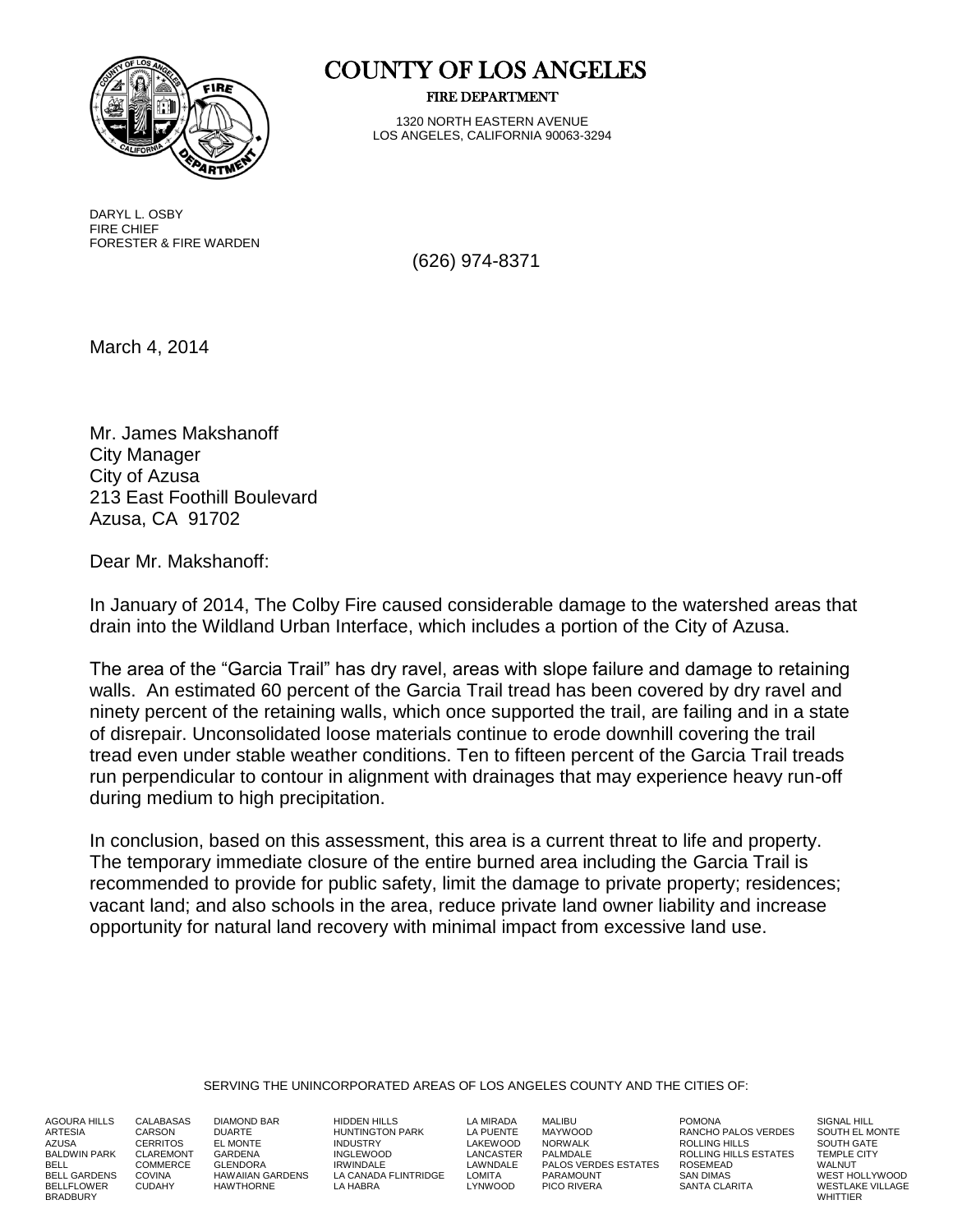

## COUNTY OF LOS ANGELES

FIRE DEPARTMENT

1320 NORTH EASTERN AVENUE LOS ANGELES, CALIFORNIA 90063-3294

DARYL L. OSBY FIRE CHIEF FORESTER & FIRE WARDEN

(626) 974-8371

March 4, 2014

Mr. James Makshanoff City Manager City of Azusa 213 East Foothill Boulevard Azusa, CA 91702

Dear Mr. Makshanoff:

In January of 2014, The Colby Fire caused considerable damage to the watershed areas that drain into the Wildland Urban Interface, which includes a portion of the City of Azusa.

The area of the "Garcia Trail" has dry ravel, areas with slope failure and damage to retaining walls. An estimated 60 percent of the Garcia Trail tread has been covered by dry ravel and ninety percent of the retaining walls, which once supported the trail, are failing and in a state of disrepair. Unconsolidated loose materials continue to erode downhill covering the trail tread even under stable weather conditions. Ten to fifteen percent of the Garcia Trail treads run perpendicular to contour in alignment with drainages that may experience heavy run-off during medium to high precipitation.

In conclusion, based on this assessment, this area is a current threat to life and property. The temporary immediate closure of the entire burned area including the Garcia Trail is recommended to provide for public safety, limit the damage to private property; residences; vacant land; and also schools in the area, reduce private land owner liability and increase opportunity for natural land recovery with minimal impact from excessive land use.

SERVING THE UNINCORPORATED AREAS OF LOS ANGELES COUNTY AND THE CITIES OF:

AGOURA HILLS ARTESIA **AZUSA** BALDWIN PARK BELL BELL GARDENS **BELLFLOWER BRADBURY** 

CARSON

COVINA CUDAHY

CALABASAS **CERRITOS** CLAREMONT **COMMERCE** DIAMOND BAR DUARTE EL MONTE GARDENA **GLENDORA** HAWAIIAN GARDENS HAWTHORNE

HIDDEN HILLS HUNTINGTON PARK INDUSTRY INGLEWOOD IRWINDALE LA CANADA FLINTRIDGE LA HABRA

LA MIRADA LA PUENTE LAKEWOOD LANCASTER LAWNDALE LOMITA LYNWOOD

MALIBU MAYWOOD NORWALK PALMDALE PALOS VERDES ESTATES PARAMOUNT PICO RIVERA

POMONA RANCHO PALOS VERDES ROLLING HILLS ROLLING HILLS ESTATES ROSEMEAD SAN DIMAS SANTA CLARITA

SIGNAL HILL SOUTH EL MONTE SOUTH GATE TEMPLE CITY WAI NUT WEST HOLLYWOOD WESTLAKE VILLAGE WHITTIER